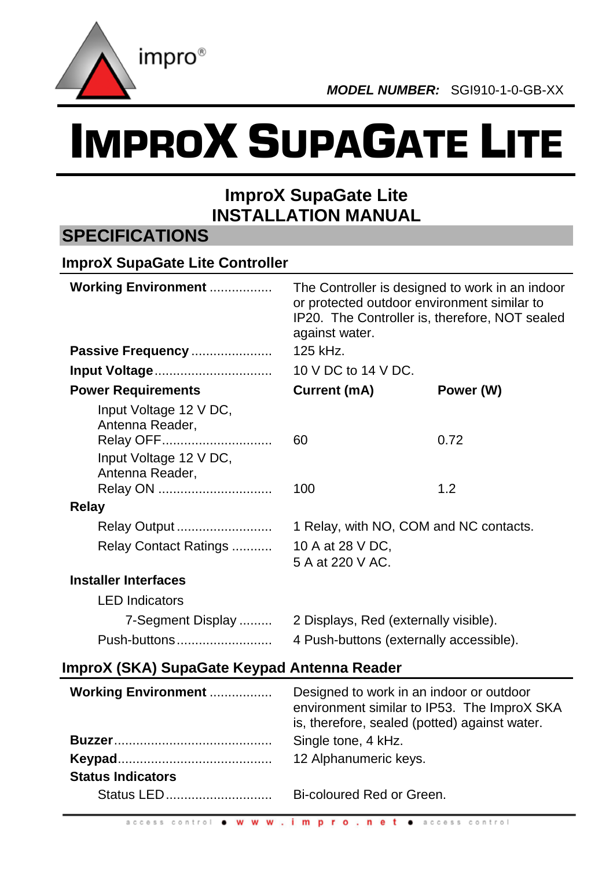

# IMPROX SUPAGATE LITE

## **ImproX SupaGate Lite INSTALLATION MANUAL**

### **SPECIFICATIONS**

| <b>ImproX SupaGate Lite Controller</b>                 |                                                                                                                                                                    |                                        |  |  |  |
|--------------------------------------------------------|--------------------------------------------------------------------------------------------------------------------------------------------------------------------|----------------------------------------|--|--|--|
| <b>Working Environment </b>                            | The Controller is designed to work in an indoor<br>or protected outdoor environment similar to<br>IP20. The Controller is, therefore, NOT sealed<br>against water. |                                        |  |  |  |
| Passive Frequency                                      | 125 kHz.                                                                                                                                                           |                                        |  |  |  |
| Input Voltage                                          | 10 V DC to 14 V DC.                                                                                                                                                |                                        |  |  |  |
| <b>Power Requirements</b>                              | Current (mA)                                                                                                                                                       | Power (W)                              |  |  |  |
| Input Voltage 12 V DC,<br>Antenna Reader,<br>Relay OFF | 60                                                                                                                                                                 | 0.72                                   |  |  |  |
| Input Voltage 12 V DC,<br>Antenna Reader,<br>Relay ON  | 100                                                                                                                                                                | 1.2                                    |  |  |  |
| Relay                                                  |                                                                                                                                                                    |                                        |  |  |  |
| Relay Output                                           |                                                                                                                                                                    | 1 Relay, with NO, COM and NC contacts. |  |  |  |
| Relay Contact Ratings                                  | 10 A at 28 V DC,<br>5 A at 220 V AC.                                                                                                                               |                                        |  |  |  |
| <b>Installer Interfaces</b>                            |                                                                                                                                                                    |                                        |  |  |  |
| <b>LED</b> Indicators                                  |                                                                                                                                                                    |                                        |  |  |  |
| 7-Segment Display                                      | 2 Displays, Red (externally visible).                                                                                                                              |                                        |  |  |  |
| Push-buttons                                           | 4 Push-buttons (externally accessible).                                                                                                                            |                                        |  |  |  |

#### **ImproX (SKA) SupaGate Keypad Antenna Reader**

| <b>Working Environment </b> | Designed to work in an indoor or outdoor<br>environment similar to IP53. The ImproX SKA<br>is, therefore, sealed (potted) against water. |
|-----------------------------|------------------------------------------------------------------------------------------------------------------------------------------|
|                             | Single tone, 4 kHz.                                                                                                                      |
|                             | 12 Alphanumeric keys.                                                                                                                    |
| <b>Status Indicators</b>    |                                                                                                                                          |
| Status LED                  | Bi-coloured Red or Green.                                                                                                                |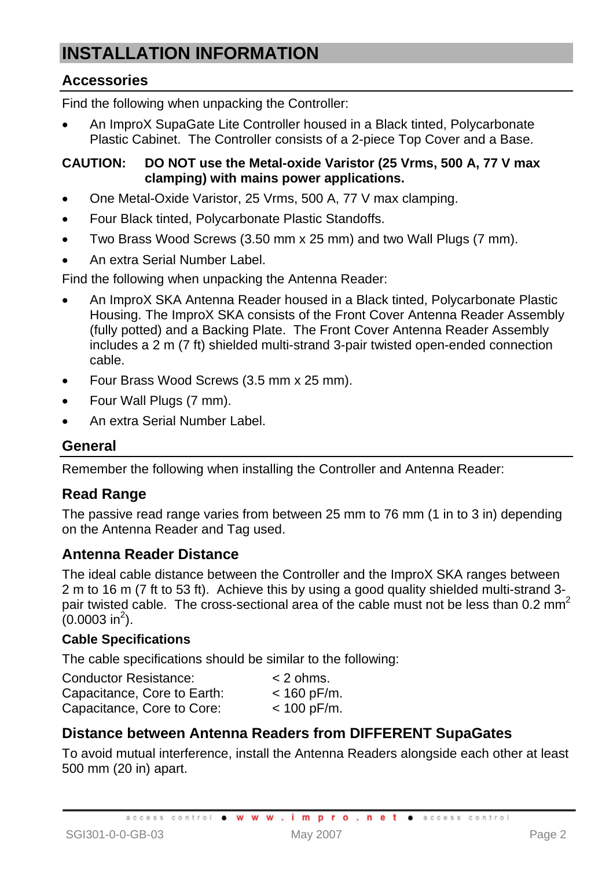# **INSTALLATION INFORMATION**

#### **Accessories**

Find the following when unpacking the Controller:

• An ImproX SupaGate Lite Controller housed in a Black tinted, Polycarbonate Plastic Cabinet. The Controller consists of a 2-piece Top Cover and a Base.

#### **CAUTION: DO NOT use the Metal-oxide Varistor (25 Vrms, 500 A, 77 V max clamping) with mains power applications.**

- One Metal-Oxide Varistor, 25 Vrms, 500 A, 77 V max clamping.
- Four Black tinted, Polycarbonate Plastic Standoffs.
- Two Brass Wood Screws (3.50 mm x 25 mm) and two Wall Plugs (7 mm).
- An extra Serial Number Label.

Find the following when unpacking the Antenna Reader:

- An ImproX SKA Antenna Reader housed in a Black tinted, Polycarbonate Plastic Housing. The ImproX SKA consists of the Front Cover Antenna Reader Assembly (fully potted) and a Backing Plate. The Front Cover Antenna Reader Assembly includes a 2 m (7 ft) shielded multi-strand 3-pair twisted open-ended connection cable.
- Four Brass Wood Screws (3.5 mm x 25 mm).
- Four Wall Plugs (7 mm).
- An extra Serial Number Label.

#### **General**

Remember the following when installing the Controller and Antenna Reader:

#### **Read Range**

The passive read range varies from between 25 mm to 76 mm (1 in to 3 in) depending on the Antenna Reader and Tag used.

#### **Antenna Reader Distance**

The ideal cable distance between the Controller and the ImproX SKA ranges between 2 m to 16 m (7 ft to 53 ft). Achieve this by using a good quality shielded multi-strand 3 pair twisted cable. The cross-sectional area of the cable must not be less than 0.2 mm<sup>2</sup>  $(0.0003 \text{ in}^2)$ .

#### **Cable Specifications**

The cable specifications should be similar to the following:

| <b>Conductor Resistance:</b> | $<$ 2 ohms.   |
|------------------------------|---------------|
| Capacitance, Core to Earth:  | $< 160$ pF/m. |
| Capacitance, Core to Core:   | $< 100$ pF/m. |

#### **Distance between Antenna Readers from DIFFERENT SupaGates**

To avoid mutual interference, install the Antenna Readers alongside each other at least 500 mm (20 in) apart.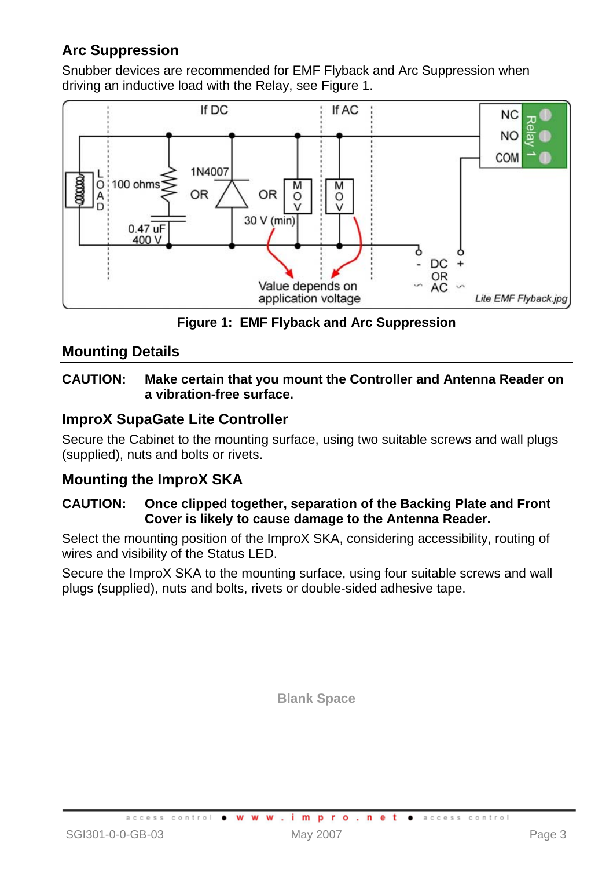#### **Arc Suppression**

Snubber devices are recommended for EMF Flyback and Arc Suppression when driving an inductive load with the Relay, see Figure 1.



**Figure 1: EMF Flyback and Arc Suppression** 

#### **Mounting Details**

#### **CAUTION: Make certain that you mount the Controller and Antenna Reader on a vibration-free surface.**

#### **ImproX SupaGate Lite Controller**

Secure the Cabinet to the mounting surface, using two suitable screws and wall plugs (supplied), nuts and bolts or rivets.

#### **Mounting the ImproX SKA**

#### **CAUTION: Once clipped together, separation of the Backing Plate and Front Cover is likely to cause damage to the Antenna Reader.**

Select the mounting position of the ImproX SKA, considering accessibility, routing of wires and visibility of the Status LED.

Secure the ImproX SKA to the mounting surface, using four suitable screws and wall plugs (supplied), nuts and bolts, rivets or double-sided adhesive tape.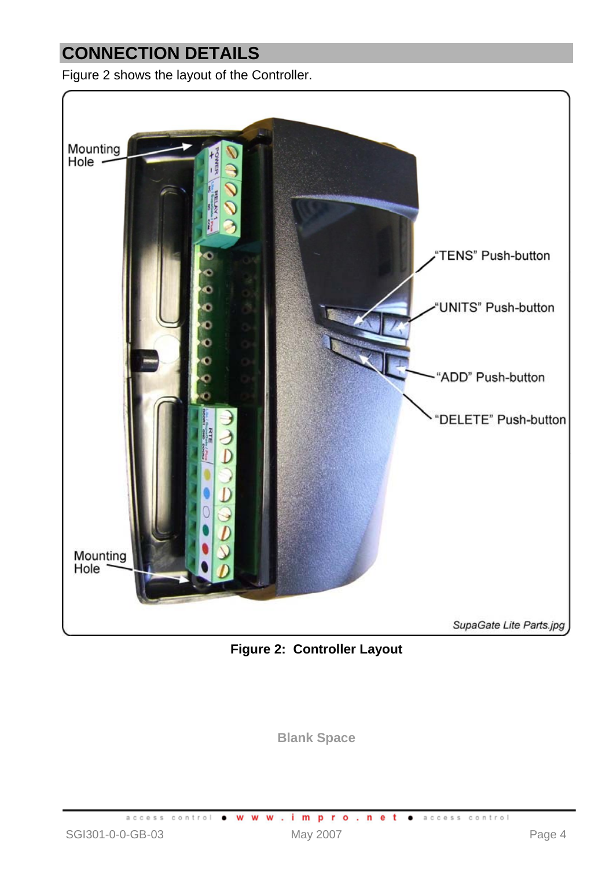# **CONNECTION DETAILS**

Figure 2 shows the layout of the Controller.



**Figure 2: Controller Layout**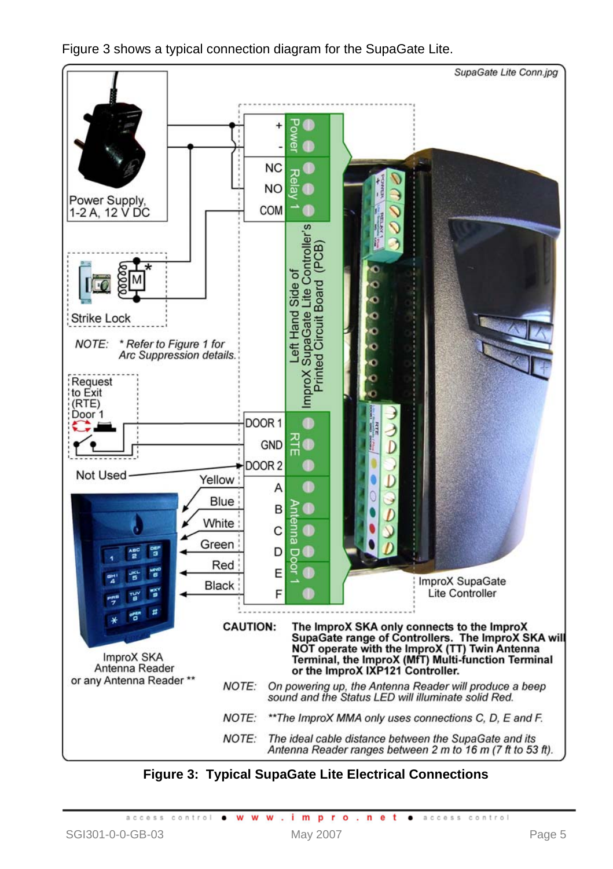

Figure 3 shows a typical connection diagram for the SupaGate Lite.

**Figure 3: Typical SupaGate Lite Electrical Connections**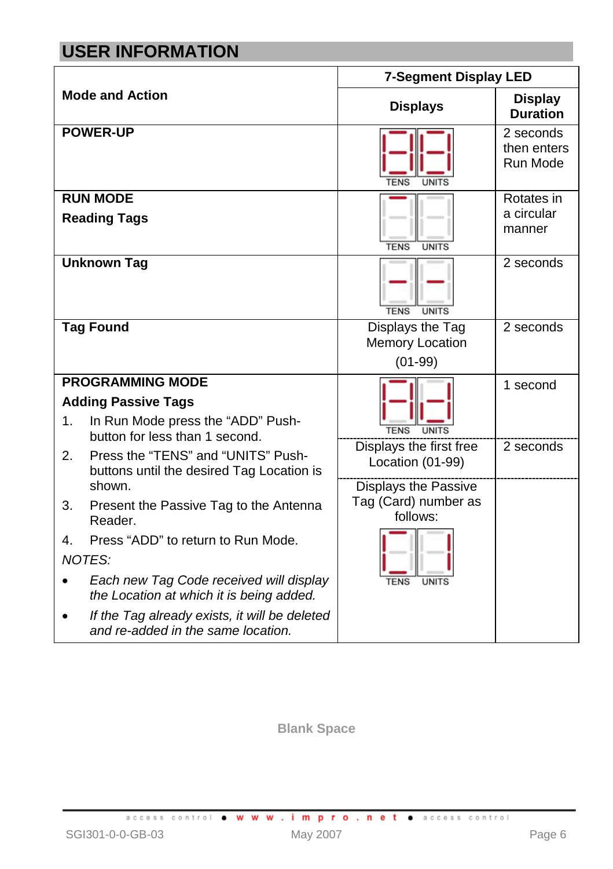# **USER INFORMATION**

|    |                                                                                     | <b>7-Segment Display LED</b>     |                                      |  |  |
|----|-------------------------------------------------------------------------------------|----------------------------------|--------------------------------------|--|--|
|    | <b>Mode and Action</b>                                                              | <b>Displays</b>                  | <b>Display</b><br><b>Duration</b>    |  |  |
|    | <b>POWER-UP</b>                                                                     | <b>TENS</b><br><b>UNITS</b>      | 2 seconds<br>then enters<br>Run Mode |  |  |
|    | <b>RUN MODE</b>                                                                     |                                  | Rotates in                           |  |  |
|    | <b>Reading Tags</b>                                                                 | <b>TENS</b><br><b>UNITS</b>      | a circular<br>manner                 |  |  |
|    | <b>Unknown Tag</b>                                                                  | <b>TENS</b><br><b>UNITS</b>      | 2 seconds                            |  |  |
|    | <b>Tag Found</b>                                                                    | Displays the Tag                 | 2 seconds                            |  |  |
|    |                                                                                     | <b>Memory Location</b>           |                                      |  |  |
|    |                                                                                     | $(01-99)$                        |                                      |  |  |
|    | <b>PROGRAMMING MODE</b>                                                             |                                  | 1 second                             |  |  |
|    | <b>Adding Passive Tags</b>                                                          |                                  |                                      |  |  |
| 1. | In Run Mode press the "ADD" Push-<br>button for less than 1 second.                 | <b>TENS</b><br>UNITS             |                                      |  |  |
| 2. | Press the "TENS" and "UNITS" Push-                                                  | Displays the first free          | 2 seconds                            |  |  |
|    | buttons until the desired Tag Location is                                           | Location (01-99)                 |                                      |  |  |
|    | shown.                                                                              | Displays the Passive             |                                      |  |  |
| 3. | Present the Passive Tag to the Antenna<br>Reader.                                   | Tag (Card) number as<br>follows: |                                      |  |  |
| 4. | Press "ADD" to return to Run Mode.                                                  |                                  |                                      |  |  |
|    | NOTES:                                                                              |                                  |                                      |  |  |
|    | Each new Tag Code received will display<br>the Location at which it is being added. | <b>TENS</b><br>UNITS             |                                      |  |  |
|    | If the Tag already exists, it will be deleted<br>and re-added in the same location. |                                  |                                      |  |  |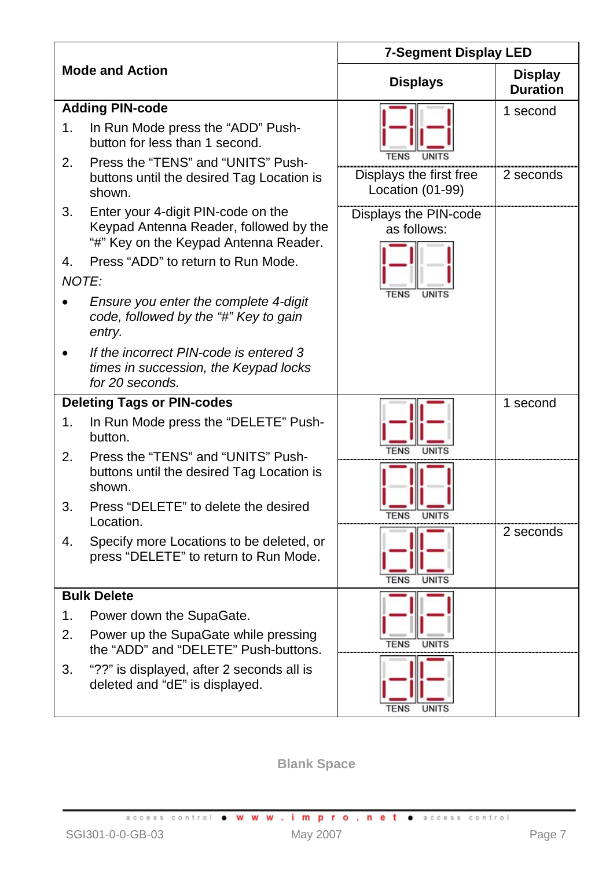|    |                                                                                                                       | <b>7-Segment Display LED</b>                |                                   |  |  |
|----|-----------------------------------------------------------------------------------------------------------------------|---------------------------------------------|-----------------------------------|--|--|
|    | <b>Mode and Action</b>                                                                                                | <b>Displays</b>                             | <b>Display</b><br><b>Duration</b> |  |  |
|    | <b>Adding PIN-code</b>                                                                                                |                                             | 1 second                          |  |  |
| 1. | In Run Mode press the "ADD" Push-<br>button for less than 1 second.                                                   | <b>TENS</b><br><b>UNITS</b>                 |                                   |  |  |
| 2. | Press the "TENS" and "UNITS" Push-<br>buttons until the desired Tag Location is<br>shown.                             | Displays the first free<br>Location (01-99) | 2 seconds                         |  |  |
| 3. | Enter your 4-digit PIN-code on the<br>Keypad Antenna Reader, followed by the<br>"#" Key on the Keypad Antenna Reader. | Displays the PIN-code<br>as follows:        |                                   |  |  |
| 4. | Press "ADD" to return to Run Mode.<br>NOTE:                                                                           |                                             |                                   |  |  |
|    | Ensure you enter the complete 4-digit<br>code, followed by the "#" Key to gain<br>entry.                              | UNITS                                       |                                   |  |  |
|    | If the incorrect PIN-code is entered 3<br>times in succession, the Keypad locks<br>for 20 seconds.                    |                                             |                                   |  |  |
|    | <b>Deleting Tags or PIN-codes</b>                                                                                     |                                             | 1 second                          |  |  |
| 1. | In Run Mode press the "DELETE" Push-<br>button.                                                                       |                                             |                                   |  |  |
| 2. | Press the "TENS" and "UNITS" Push-<br>buttons until the desired Tag Location is<br>shown.                             |                                             |                                   |  |  |
| 3. | Press "DELETE" to delete the desired<br>Location.                                                                     | <b>TENS</b><br><b>UNITS</b>                 |                                   |  |  |
| 4. | Specify more Locations to be deleted, or<br>press "DELETE" to return to Run Mode.                                     | <b>TENS</b><br><b>UNITS</b>                 | 2 seconds                         |  |  |
|    | <b>Bulk Delete</b>                                                                                                    |                                             |                                   |  |  |
| 1. | Power down the SupaGate.                                                                                              |                                             |                                   |  |  |
| 2. | Power up the SupaGate while pressing<br>the "ADD" and "DELETE" Push-buttons.                                          | <b>TFNS</b><br><b>UNITS</b>                 |                                   |  |  |
| 3. | "??" is displayed, after 2 seconds all is<br>deleted and "dE" is displayed.                                           | <b>TENS</b><br><b>UNITS</b>                 |                                   |  |  |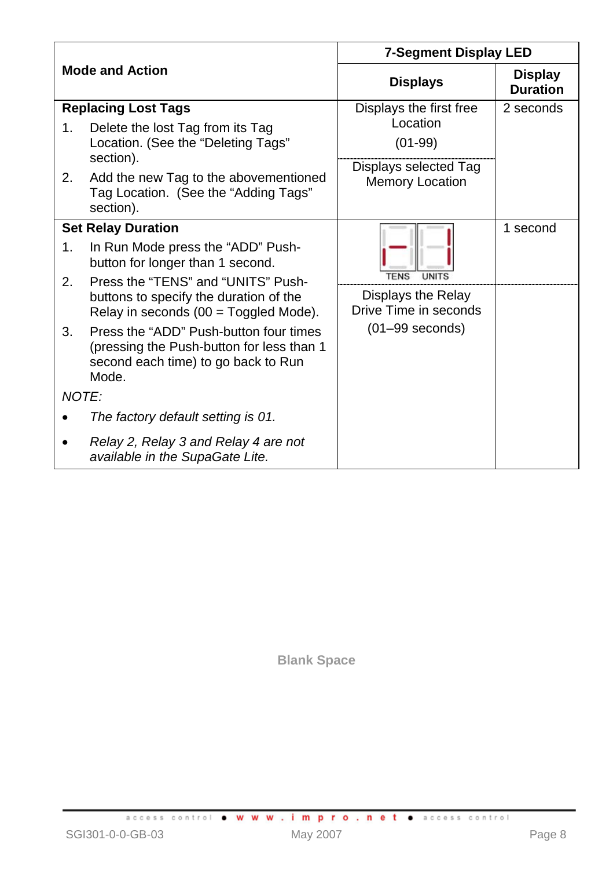|          |                                                                                                                                                                                                                 | 7-Segment Display LED                                                                               |                                   |  |  |
|----------|-----------------------------------------------------------------------------------------------------------------------------------------------------------------------------------------------------------------|-----------------------------------------------------------------------------------------------------|-----------------------------------|--|--|
|          | <b>Mode and Action</b>                                                                                                                                                                                          | <b>Displays</b>                                                                                     | <b>Display</b><br><b>Duration</b> |  |  |
| 1.<br>2. | <b>Replacing Lost Tags</b><br>Delete the lost Tag from its Tag<br>Location. (See the "Deleting Tags"<br>section).<br>Add the new Tag to the abovementioned<br>Tag Location. (See the "Adding Tags"<br>section). | Displays the first free<br>Location<br>$(01-99)$<br>Displays selected Tag<br><b>Memory Location</b> | 2 seconds                         |  |  |
| 1.<br>2. | <b>Set Relay Duration</b><br>In Run Mode press the "ADD" Push-<br>button for longer than 1 second.                                                                                                              | TENS                                                                                                | 1 second                          |  |  |
|          | Press the "TENS" and "UNITS" Push-<br>buttons to specify the duration of the<br>Relay in seconds (00 = Toggled Mode).                                                                                           | Displays the Relay<br>Drive Time in seconds                                                         |                                   |  |  |
| 3.       | Press the "ADD" Push-button four times<br>(pressing the Push-button for less than 1<br>second each time) to go back to Run<br>Mode.                                                                             | $(01-99$ seconds)                                                                                   |                                   |  |  |
| NOTF:    |                                                                                                                                                                                                                 |                                                                                                     |                                   |  |  |
|          | The factory default setting is 01.                                                                                                                                                                              |                                                                                                     |                                   |  |  |
|          | Relay 2, Relay 3 and Relay 4 are not<br>available in the SupaGate Lite.                                                                                                                                         |                                                                                                     |                                   |  |  |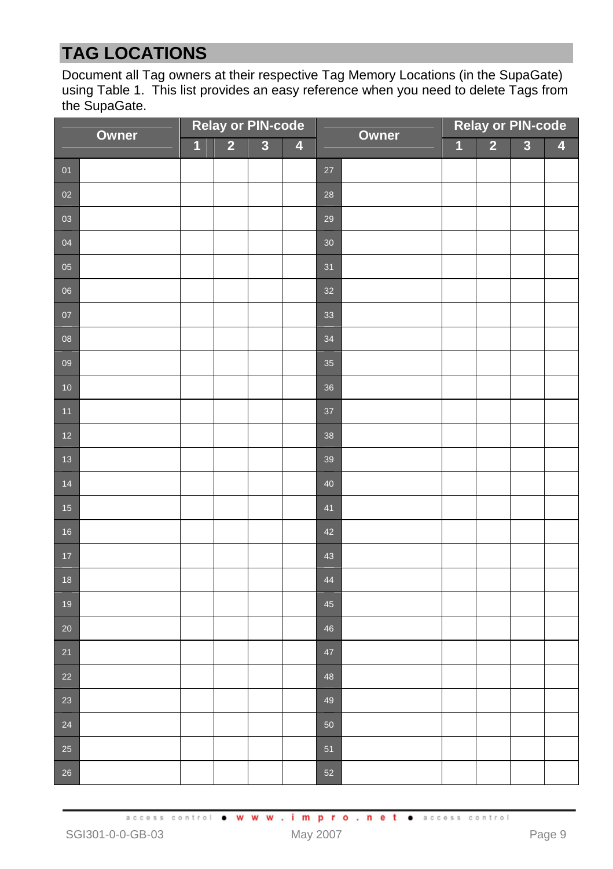# **TAG LOCATIONS**

Document all Tag owners at their respective Tag Memory Locations (in the SupaGate) using Table 1. This list provides an easy reference when you need to delete Tags from the SupaGate.

| Owner                                              |  | <b>Relay or PIN-code</b> |                         |                |                         | Owner  | <b>Relay or PIN-code</b> |                         |                         |                |   |
|----------------------------------------------------|--|--------------------------|-------------------------|----------------|-------------------------|--------|--------------------------|-------------------------|-------------------------|----------------|---|
|                                                    |  | $\overline{\mathbf{1}}$  | $\overline{\mathbf{2}}$ | $\overline{3}$ | $\overline{\mathbf{4}}$ |        |                          | $\overline{\mathbf{1}}$ | $\overline{\mathbf{2}}$ | $\overline{3}$ | 4 |
| $\overline{01}$                                    |  |                          |                         |                |                         | 27     |                          |                         |                         |                |   |
| 02                                                 |  |                          |                         |                |                         | 28     |                          |                         |                         |                |   |
| 03                                                 |  |                          |                         |                |                         | 29     |                          |                         |                         |                |   |
| 04                                                 |  |                          |                         |                |                         | $30\,$ |                          |                         |                         |                |   |
| 05                                                 |  |                          |                         |                |                         | 31     |                          |                         |                         |                |   |
| 06                                                 |  |                          |                         |                |                         | 32     |                          |                         |                         |                |   |
| 07                                                 |  |                          |                         |                |                         | 33     |                          |                         |                         |                |   |
| 08                                                 |  |                          |                         |                |                         | 34     |                          |                         |                         |                |   |
| 09                                                 |  |                          |                         |                |                         | 35     |                          |                         |                         |                |   |
| 10                                                 |  |                          |                         |                |                         | 36     |                          |                         |                         |                |   |
| $\boxed{11}$                                       |  |                          |                         |                |                         | 37     |                          |                         |                         |                |   |
| $\begin{array}{c} 1 \\ 12 \end{array}$             |  |                          |                         |                |                         | 38     |                          |                         |                         |                |   |
| $\begin{array}{c} \n \overline{13} \n \end{array}$ |  |                          |                         |                |                         | 39     |                          |                         |                         |                |   |
| 14                                                 |  |                          |                         |                |                         | 40     |                          |                         |                         |                |   |
| $\begin{array}{c} \n\phantom{0}15\n\end{array}$    |  |                          |                         |                |                         | 41     |                          |                         |                         |                |   |
| $\begin{array}{c} 16 \end{array}$                  |  |                          |                         |                |                         | 42     |                          |                         |                         |                |   |
| $\frac{1}{17}$                                     |  |                          |                         |                |                         | 43     |                          |                         |                         |                |   |
| 18                                                 |  |                          |                         |                |                         | 44     |                          |                         |                         |                |   |
| $\begin{array}{c} 19 \end{array}$                  |  |                          |                         |                |                         | 45     |                          |                         |                         |                |   |
| 20                                                 |  |                          |                         |                |                         | 46     |                          |                         |                         |                |   |
| 21                                                 |  |                          |                         |                |                         | $47\,$ |                          |                         |                         |                |   |
| 22                                                 |  |                          |                         |                |                         | 48     |                          |                         |                         |                |   |
| 23                                                 |  |                          |                         |                |                         | 49     |                          |                         |                         |                |   |
| 24                                                 |  |                          |                         |                |                         | 50     |                          |                         |                         |                |   |
| 25                                                 |  |                          |                         |                |                         | 51     |                          |                         |                         |                |   |
| 26                                                 |  |                          |                         |                |                         | 52     |                          |                         |                         |                |   |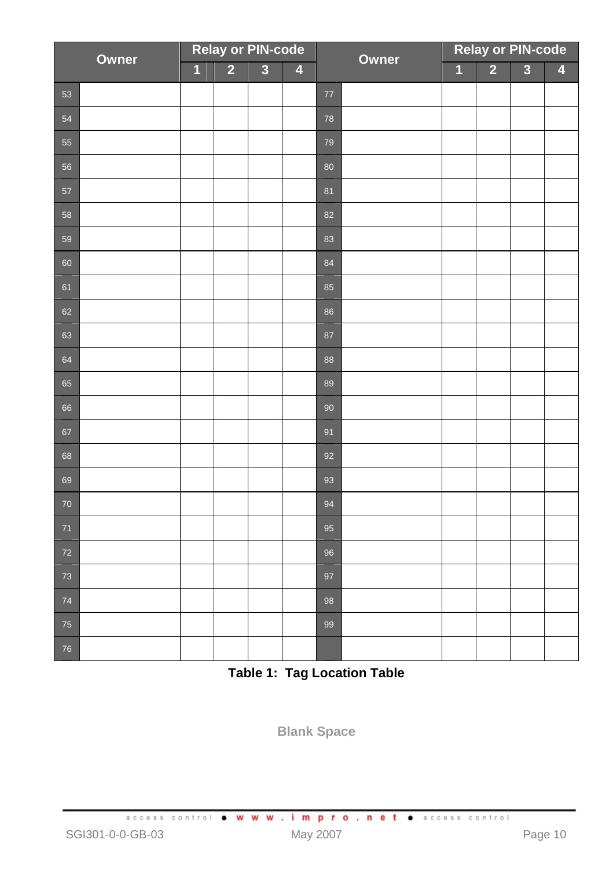| Owner |  | <b>Relay or PIN-code</b><br>$\overline{1}$ |                |                         |                         | Owner  | <b>Relay or PIN-code</b> |                |                |                |                         |
|-------|--|--------------------------------------------|----------------|-------------------------|-------------------------|--------|--------------------------|----------------|----------------|----------------|-------------------------|
|       |  |                                            | $\overline{2}$ | $\overline{\mathbf{3}}$ | $\overline{\mathbf{4}}$ |        |                          | $\overline{1}$ | $\overline{2}$ | $\overline{3}$ | $\overline{\mathbf{4}}$ |
| 53    |  |                                            |                |                         |                         | $77\,$ |                          |                |                |                |                         |
| 54    |  |                                            |                |                         |                         | 78     |                          |                |                |                |                         |
| 55    |  |                                            |                |                         |                         | 79     |                          |                |                |                |                         |
| 56    |  |                                            |                |                         |                         | 80     |                          |                |                |                |                         |
| 57    |  |                                            |                |                         |                         | 81     |                          |                |                |                |                         |
| 58    |  |                                            |                |                         |                         | 82     |                          |                |                |                |                         |
| 59    |  |                                            |                |                         |                         | 83     |                          |                |                |                |                         |
| 60    |  |                                            |                |                         |                         | 84     |                          |                |                |                |                         |
| 61    |  |                                            |                |                         |                         | 85     |                          |                |                |                |                         |
| 62    |  |                                            |                |                         |                         | 86     |                          |                |                |                |                         |
| 63    |  |                                            |                |                         |                         | 87     |                          |                |                |                |                         |
| 64    |  |                                            |                |                         |                         | 88     |                          |                |                |                |                         |
| 65    |  |                                            |                |                         |                         | 89     |                          |                |                |                |                         |
| 66    |  |                                            |                |                         |                         | 90     |                          |                |                |                |                         |
| 67    |  |                                            |                |                         |                         | 91     |                          |                |                |                |                         |
| 68    |  |                                            |                |                         |                         | 92     |                          |                |                |                |                         |
| 69    |  |                                            |                |                         |                         | 93     |                          |                |                |                |                         |
| 70    |  |                                            |                |                         |                         | 94     |                          |                |                |                |                         |
| 71    |  |                                            |                |                         |                         | 95     |                          |                |                |                |                         |
| 72    |  |                                            |                |                         |                         | 96     |                          |                |                |                |                         |
| 73    |  |                                            |                |                         |                         | 97     |                          |                |                |                |                         |
| 74    |  |                                            |                |                         |                         | 98     |                          |                |                |                |                         |
| 75    |  |                                            |                |                         |                         | 99     |                          |                |                |                |                         |
| 76    |  |                                            |                |                         |                         |        |                          |                |                |                |                         |

**Table 1: Tag Location Table**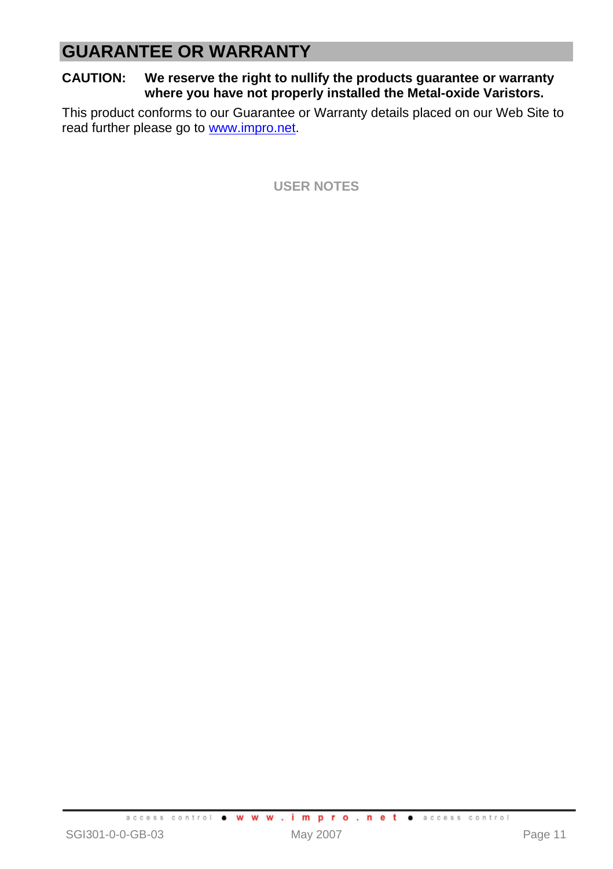# **GUARANTEE OR WARRANTY**

**CAUTION: We reserve the right to nullify the products guarantee or warranty where you have not properly installed the Metal-oxide Varistors.** 

This product conforms to our Guarantee or Warranty details placed on our Web Site to read further please go to www.impro.net.

**USER NOTES**